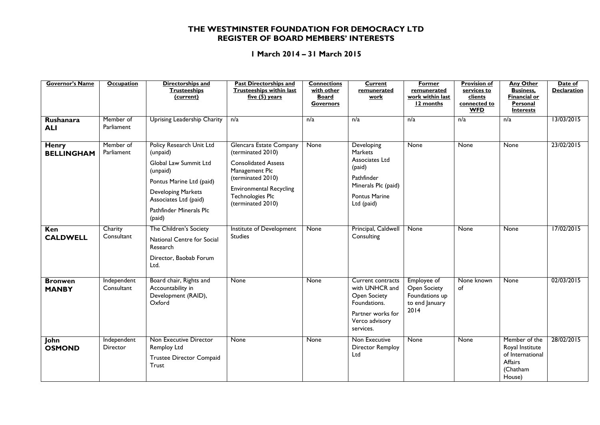## **THE WESTMINSTER FOUNDATION FOR DEMOCRACY LTD REGISTER OF BOARD MEMBERS' INTERESTS**

## **1 March 2014 – 31 March 2015**

| <b>Governor's Name</b>            | <b>Occupation</b>              | Directorships and<br><b>Trusteeships</b><br>(current)                                                                                                                                            | <b>Past Directorships and</b><br><b>Trusteeships within last</b><br>five $(5)$ years                                                                                                                | <b>Connections</b><br>with other<br><b>Board</b><br><b>Governors</b> | <b>Current</b><br>remunerated<br>work                                                                                               | <b>Former</b><br>remunerated<br>work within last<br>12 months           | <b>Provision of</b><br>services to<br>clients<br>connected to<br><b>WFD</b> | <b>Any Other</b><br><b>Business,</b><br><b>Financial or</b><br>Personal<br><b>Interests</b> | Date of<br><b>Declaration</b> |
|-----------------------------------|--------------------------------|--------------------------------------------------------------------------------------------------------------------------------------------------------------------------------------------------|-----------------------------------------------------------------------------------------------------------------------------------------------------------------------------------------------------|----------------------------------------------------------------------|-------------------------------------------------------------------------------------------------------------------------------------|-------------------------------------------------------------------------|-----------------------------------------------------------------------------|---------------------------------------------------------------------------------------------|-------------------------------|
| Rushanara<br><b>ALI</b>           | Member of<br>Parliament        | <b>Uprising Leadership Charity</b>                                                                                                                                                               | n/a                                                                                                                                                                                                 | n/a                                                                  | n/a                                                                                                                                 | n/a                                                                     | n/a                                                                         | n/a                                                                                         | 13/03/2015                    |
| <b>Henry</b><br><b>BELLINGHAM</b> | Member of<br>Parliament        | Policy Research Unit Ltd<br>(unpaid)<br>Global Law Summit Ltd<br>(unpaid)<br>Pontus Marine Ltd (paid)<br><b>Developing Markets</b><br>Associates Ltd (paid)<br>Pathfinder Minerals Plc<br>(paid) | Glencara Estate Company<br>(terminated 2010)<br><b>Consolidated Assess</b><br>Management Plc<br>(terminated 2010)<br><b>Environmental Recycling</b><br><b>Technologies Plc</b><br>(terminated 2010) | None                                                                 | Developing<br><b>Markets</b><br>Associates Ltd<br>(paid)<br>Pathfinder<br>Minerals Plc (paid)<br><b>Pontus Marine</b><br>Ltd (paid) | None                                                                    | None                                                                        | None                                                                                        | 23/02/2015                    |
| Ken<br><b>CALDWELL</b>            | Charity<br>Consultant          | The Children's Society<br>National Centre for Social<br>Research<br>Director, Baobab Forum<br>Ltd.                                                                                               | Institute of Development<br><b>Studies</b>                                                                                                                                                          | <b>None</b>                                                          | Principal, Caldwell<br>Consulting                                                                                                   | None                                                                    | None                                                                        | None                                                                                        | 17/02/2015                    |
| <b>Bronwen</b><br><b>MANBY</b>    | Independent<br>Consultant      | Board chair, Rights and<br>Accountability in<br>Development (RAID),<br>Oxford                                                                                                                    | None                                                                                                                                                                                                | None                                                                 | Current contracts<br>with UNHCR and<br><b>Open Society</b><br>Foundations.<br>Partner works for<br>Verco advisory<br>services.      | Employee of<br>Open Society<br>Foundations up<br>to end January<br>2014 | None known<br>of                                                            | None                                                                                        | 02/03/2015                    |
| John<br><b>OSMOND</b>             | Independent<br><b>Director</b> | Non Executive Director<br>Remploy Ltd<br>Trustee Director Compaid<br>Trust                                                                                                                       | <b>None</b>                                                                                                                                                                                         | None                                                                 | Non Executive<br><b>Director Remploy</b><br>Ltd                                                                                     | None                                                                    | None                                                                        | Member of the<br>Royal Institute<br>of International<br>Affairs<br>(Chatham<br>House)       | 28/02/2015                    |